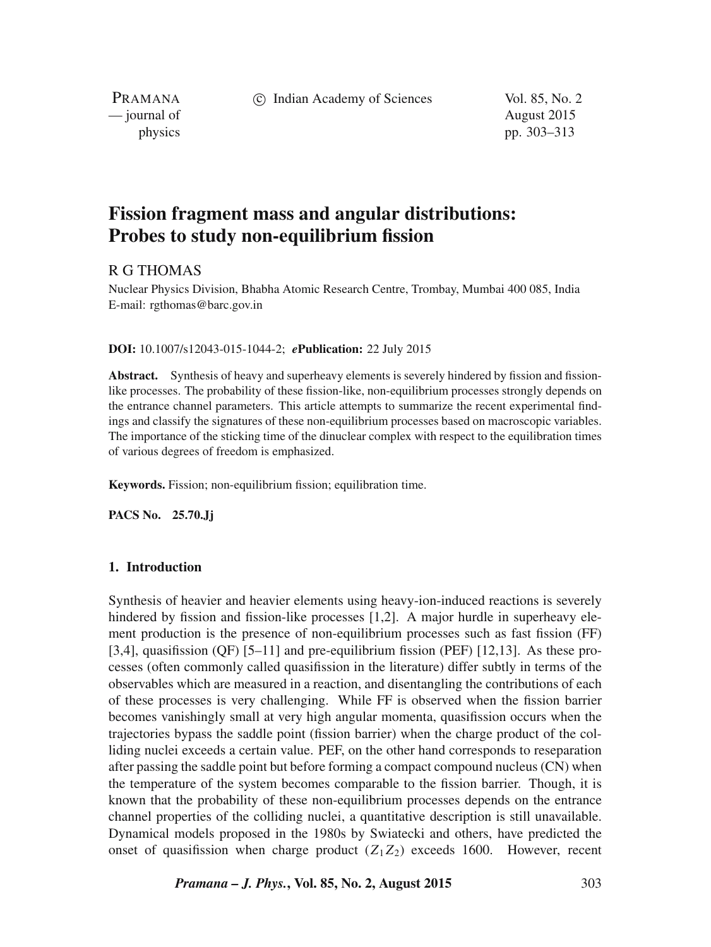c Indian Academy of Sciences Vol. 85, No. 2

PRAMANA — journal of August 2015

physics pp. 303–313

# **Fission fragment mass and angular distributions: Probes to study non-equilibrium fission**

# R G THOMAS

Nuclear Physics Division, Bhabha Atomic Research Centre, Trombay, Mumbai 400 085, India E-mail: rgthomas@barc.gov.in

### **DOI:** 10.1007/s12043-015-1044-2; *e***Publication:** 22 July 2015

**Abstract.** Synthesis of heavy and superheavy elements is severely hindered by fission and fissionlike processes. The probability of these fission-like, non-equilibrium processes strongly depends on the entrance channel parameters. This article attempts to summarize the recent experimental findings and classify the signatures of these non-equilibrium processes based on macroscopic variables. The importance of the sticking time of the dinuclear complex with respect to the equilibration times of various degrees of freedom is emphasized.

**Keywords.** Fission; non-equilibrium fission; equilibration time.

**PACS No. 25.70.Jj**

# **1. Introduction**

Synthesis of heavier and heavier elements using heavy-ion-induced reactions is severely hindered by fission and fission-like processes [1,2]. A major hurdle in superheavy element production is the presence of non-equilibrium processes such as fast fission (FF) [3,4], quasifission (QF) [5–11] and pre-equilibrium fission (PEF) [12,13]. As these processes (often commonly called quasifission in the literature) differ subtly in terms of the observables which are measured in a reaction, and disentangling the contributions of each of these processes is very challenging. While FF is observed when the fission barrier becomes vanishingly small at very high angular momenta, quasifission occurs when the trajectories bypass the saddle point (fission barrier) when the charge product of the colliding nuclei exceeds a certain value. PEF, on the other hand corresponds to reseparation after passing the saddle point but before forming a compact compound nucleus (CN) when the temperature of the system becomes comparable to the fission barrier. Though, it is known that the probability of these non-equilibrium processes depends on the entrance channel properties of the colliding nuclei, a quantitative description is still unavailable. Dynamical models proposed in the 1980s by Swiatecki and others, have predicted the onset of quasifission when charge product  $(Z_1Z_2)$  exceeds 1600. However, recent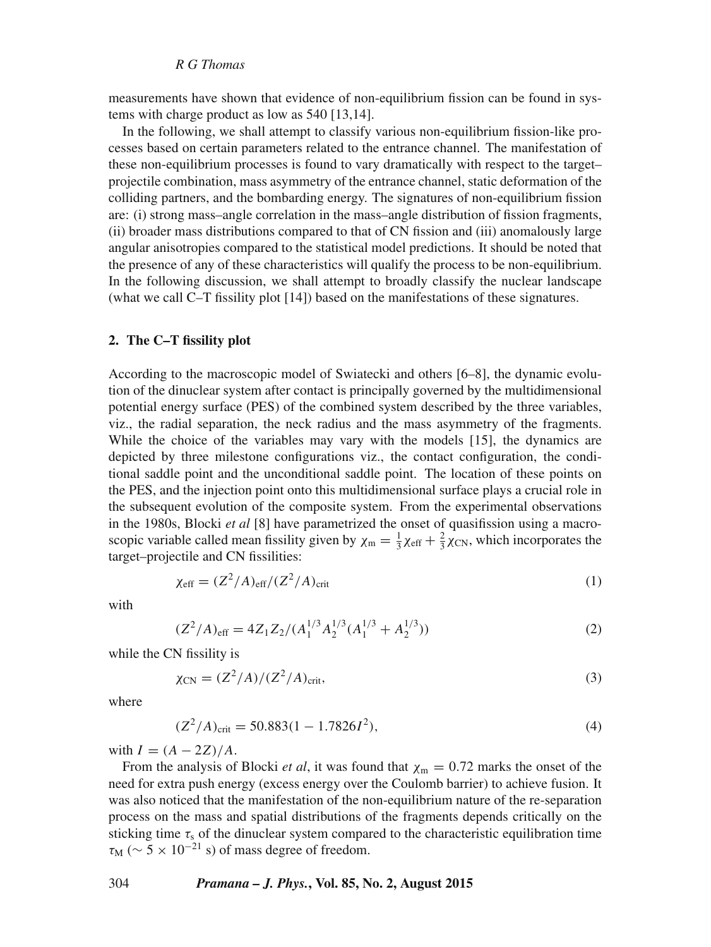#### *R G Thomas*

measurements have shown that evidence of non-equilibrium fission can be found in systems with charge product as low as 540 [13,14].

In the following, we shall attempt to classify various non-equilibrium fission-like processes based on certain parameters related to the entrance channel. The manifestation of these non-equilibrium processes is found to vary dramatically with respect to the target– projectile combination, mass asymmetry of the entrance channel, static deformation of the colliding partners, and the bombarding energy. The signatures of non-equilibrium fission are: (i) strong mass–angle correlation in the mass–angle distribution of fission fragments, (ii) broader mass distributions compared to that of CN fission and (iii) anomalously large angular anisotropies compared to the statistical model predictions. It should be noted that the presence of any of these characteristics will qualify the process to be non-equilibrium. In the following discussion, we shall attempt to broadly classify the nuclear landscape (what we call C–T fissility plot [14]) based on the manifestations of these signatures.

#### **2. The C–T fissility plot**

According to the macroscopic model of Swiatecki and others [6–8], the dynamic evolution of the dinuclear system after contact is principally governed by the multidimensional potential energy surface (PES) of the combined system described by the three variables, viz., the radial separation, the neck radius and the mass asymmetry of the fragments. While the choice of the variables may vary with the models [15], the dynamics are depicted by three milestone configurations viz., the contact configuration, the conditional saddle point and the unconditional saddle point. The location of these points on the PES, and the injection point onto this multidimensional surface plays a crucial role in the subsequent evolution of the composite system. From the experimental observations in the 1980s, Blocki *et al* [8] have parametrized the onset of quasifission using a macroscopic variable called mean fissility given by  $\chi_m = \frac{1}{3}\chi_{eff} + \frac{2}{3}\chi_{CN}$ , which incorporates the target–projectile and CN fissilities:

$$
\chi_{\rm eff} = (Z^2/A)_{\rm eff} / (Z^2/A)_{\rm crit} \tag{1}
$$

with

$$
(Z^2/A)_{\text{eff}} = 4Z_1 Z_2 / (A_1^{1/3} A_2^{1/3} (A_1^{1/3} + A_2^{1/3}))
$$
 (2)

while the CN fissility is

$$
\chi_{\rm CN} = (Z^2/A)/(Z^2/A)_{\rm crit},\tag{3}
$$

where

$$
(Z^2/A)_{\text{crit}} = 50.883(1 - 1.7826I^2),\tag{4}
$$

with  $I = (A - 2Z)/A$ .

From the analysis of Blocki *et al*, it was found that  $\chi_m = 0.72$  marks the onset of the need for extra push energy (excess energy over the Coulomb barrier) to achieve fusion. It was also noticed that the manifestation of the non-equilibrium nature of the re-separation process on the mass and spatial distributions of the fragments depends critically on the sticking time  $\tau_s$  of the dinuclear system compared to the characteristic equilibration time  $\tau_M$  ( $\sim 5 \times 10^{-21}$  s) of mass degree of freedom.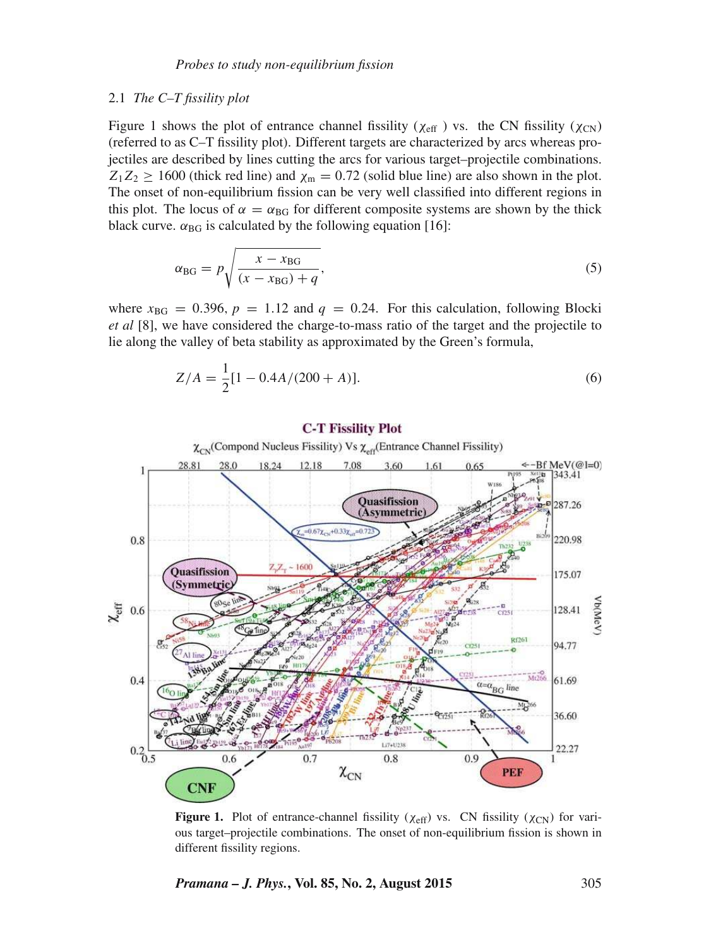#### 2.1 *The C–T fissility plot*

Figure 1 shows the plot of entrance channel fissility ( $\chi_{\text{eff}}$ ) vs. the CN fissility ( $\chi_{\text{CN}}$ ) (referred to as C–T fissility plot). Different targets are characterized by arcs whereas projectiles are described by lines cutting the arcs for various target–projectile combinations.  $Z_1Z_2 \ge 1600$  (thick red line) and  $\chi_{\rm m} = 0.72$  (solid blue line) are also shown in the plot. The onset of non-equilibrium fission can be very well classified into different regions in this plot. The locus of  $\alpha = \alpha_{BG}$  for different composite systems are shown by the thick black curve.  $\alpha_{BG}$  is calculated by the following equation [16]:

$$
\alpha_{\text{BG}} = p \sqrt{\frac{x - x_{\text{BG}}}{(x - x_{\text{BG}}) + q}},\tag{5}
$$

where  $x_{BG} = 0.396$ ,  $p = 1.12$  and  $q = 0.24$ . For this calculation, following Blocki *et al* [8], we have considered the charge-to-mass ratio of the target and the projectile to lie along the valley of beta stability as approximated by the Green's formula,

$$
Z/A = \frac{1}{2}[1 - 0.4A/(200 + A)].
$$
\n(6)



#### **C-T Fissility Plot**

**Figure 1.** Plot of entrance-channel fissility ( $\chi_{\text{eff}}$ ) vs. CN fissility ( $\chi_{\text{CN}}$ ) for various target–projectile combinations. The onset of non-equilibrium fission is shown in different fissility regions.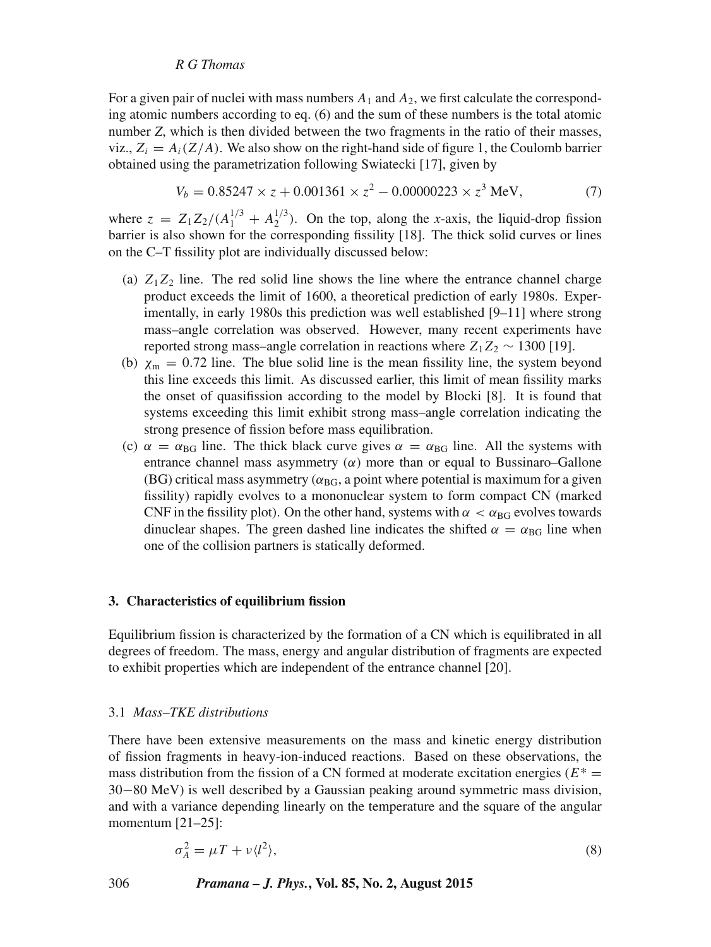## *R G Thomas*

For a given pair of nuclei with mass numbers  $A_1$  and  $A_2$ , we first calculate the corresponding atomic numbers according to eq. (6) and the sum of these numbers is the total atomic number *Z*, which is then divided between the two fragments in the ratio of their masses, viz.,  $Z_i = A_i(Z/A)$ . We also show on the right-hand side of figure 1, the Coulomb barrier obtained using the parametrization following Swiatecki [17], given by

$$
V_b = 0.85247 \times z + 0.001361 \times z^2 - 0.00000223 \times z^3 \text{ MeV},\tag{7}
$$

where  $z = Z_1 Z_2 / (A_1^{1/3} + A_2^{1/3})$ . On the top, along the *x*-axis, the liquid-drop fission barrier is also shown for the corresponding fissility [18]. The thick solid curves or lines on the C–T fissility plot are individually discussed below:

- (a)  $Z_1Z_2$  line. The red solid line shows the line where the entrance channel charge product exceeds the limit of 1600, a theoretical prediction of early 1980s. Experimentally, in early 1980s this prediction was well established [9–11] where strong mass–angle correlation was observed. However, many recent experiments have reported strong mass–angle correlation in reactions where  $Z_1Z_2 \sim 1300$  [19].
- (b)  $\chi_{\rm m} = 0.72$  line. The blue solid line is the mean fissility line, the system beyond this line exceeds this limit. As discussed earlier, this limit of mean fissility marks the onset of quasifission according to the model by Blocki [8]. It is found that systems exceeding this limit exhibit strong mass–angle correlation indicating the strong presence of fission before mass equilibration.
- (c)  $\alpha = \alpha_{BG}$  line. The thick black curve gives  $\alpha = \alpha_{BG}$  line. All the systems with entrance channel mass asymmetry  $(\alpha)$  more than or equal to Bussinaro–Gallone (BG) critical mass asymmetry ( $\alpha_{BG}$ , a point where potential is maximum for a given fissility) rapidly evolves to a mononuclear system to form compact CN (marked CNF in the fissility plot). On the other hand, systems with  $\alpha < \alpha_{BG}$  evolves towards dinuclear shapes. The green dashed line indicates the shifted  $\alpha = \alpha_{\text{BG}}$  line when one of the collision partners is statically deformed.

#### **3. Characteristics of equilibrium fission**

Equilibrium fission is characterized by the formation of a CN which is equilibrated in all degrees of freedom. The mass, energy and angular distribution of fragments are expected to exhibit properties which are independent of the entrance channel [20].

#### 3.1 *Mass–TKE distributions*

There have been extensive measurements on the mass and kinetic energy distribution of fission fragments in heavy-ion-induced reactions. Based on these observations, the mass distribution from the fission of a CN formed at moderate excitation energies ( $E^*$  = 30−80 MeV) is well described by a Gaussian peaking around symmetric mass division, and with a variance depending linearly on the temperature and the square of the angular momentum [21–25]:

$$
\sigma_A^2 = \mu T + \nu \langle l^2 \rangle,\tag{8}
$$

306 *Pramana – J. Phys.***, Vol. 85, No. 2, August 2015**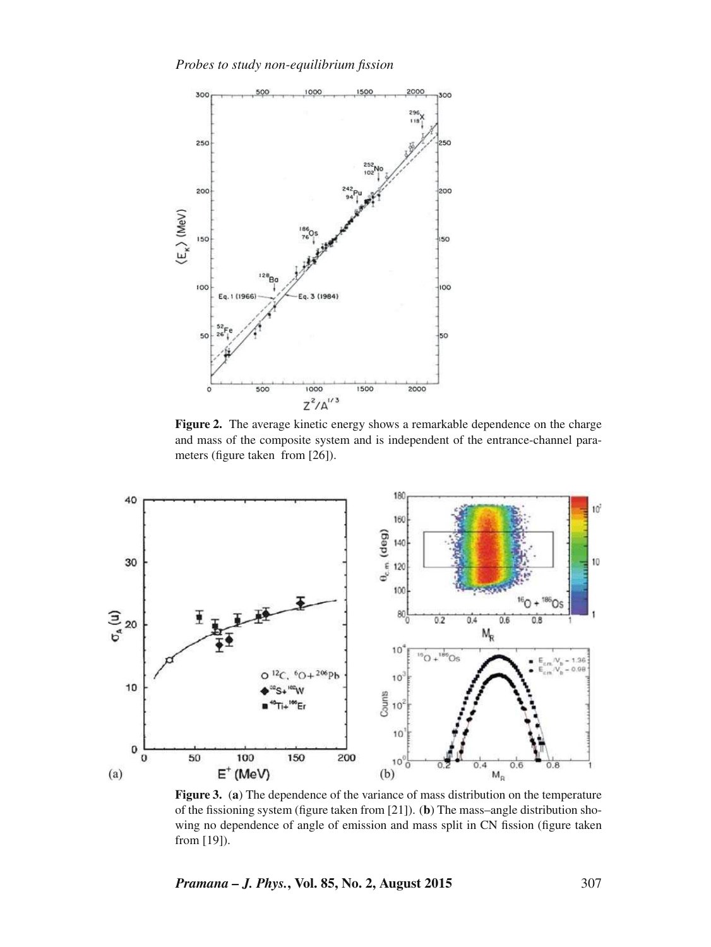*Probes to study non-equilibrium fission*



Figure 2. The average kinetic energy shows a remarkable dependence on the charge and mass of the composite system and is independent of the entrance-channel parameters (figure taken from [26]).



**Figure 3.** (**a**) The dependence of the variance of mass distribution on the temperature of the fissioning system (figure taken from [21]). (**b**) The mass–angle distribution showing no dependence of angle of emission and mass split in CN fission (figure taken from [19]).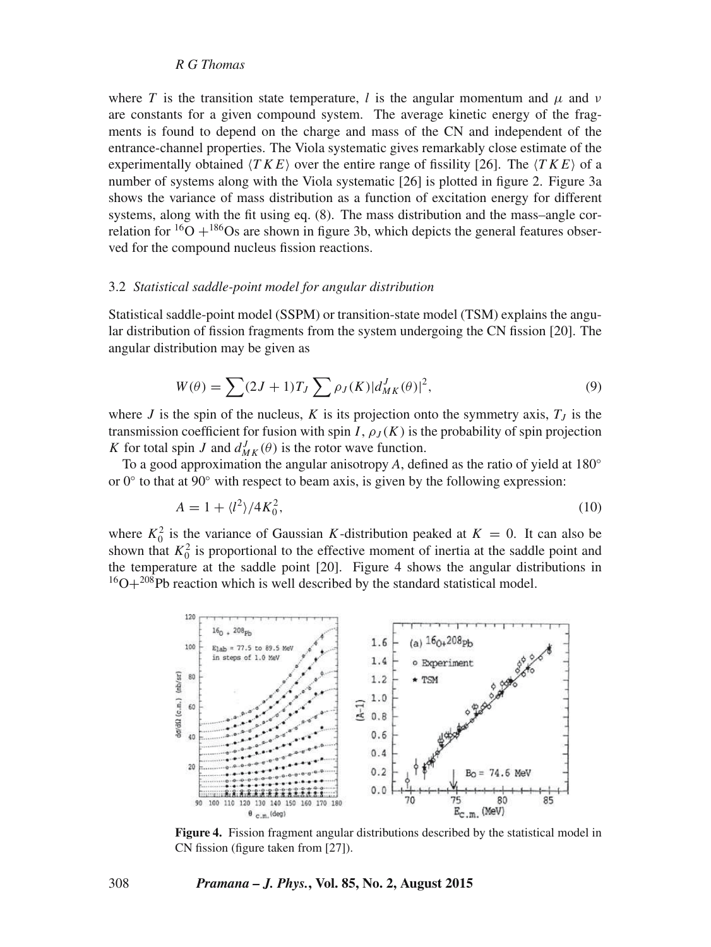#### *R G Thomas*

where T is the transition state temperature, l is the angular momentum and  $\mu$  and  $\nu$ are constants for a given compound system. The average kinetic energy of the fragments is found to depend on the charge and mass of the CN and independent of the entrance-channel properties. The Viola systematic gives remarkably close estimate of the experimentally obtained  $\langle TKE \rangle$  over the entire range of fissility [26]. The  $\langle TKE \rangle$  of a number of systems along with the Viola systematic [26] is plotted in figure 2. Figure 3a shows the variance of mass distribution as a function of excitation energy for different systems, along with the fit using eq. (8). The mass distribution and the mass–angle correlation for  ${}^{16}O + {}^{186}Os$  are shown in figure 3b, which depicts the general features observed for the compound nucleus fission reactions.

#### 3.2 *Statistical saddle-point model for angular distribution*

Statistical saddle-point model (SSPM) or transition-state model (TSM) explains the angular distribution of fission fragments from the system undergoing the CN fission [20]. The angular distribution may be given as

$$
W(\theta) = \sum (2J+1)T_J \sum \rho_J(K) |d_{MK}^J(\theta)|^2,
$$
\n(9)

where J is the spin of the nucleus, K is its projection onto the symmetry axis,  $T<sub>J</sub>$  is the transmission coefficient for fusion with spin I,  $\rho_J(K)$  is the probability of spin projection K for total spin J and  $d_{MK}^{J}(\theta)$  is the rotor wave function.

To a good approximation the angular anisotropy *A*, defined as the ratio of yield at 180◦ or 0° to that at 90° with respect to beam axis, is given by the following expression:

$$
A = 1 + \langle l^2 \rangle / 4K_0^2,\tag{10}
$$

where  $K_0^2$  is the variance of Gaussian K-distribution peaked at  $K = 0$ . It can also be shown that  $K_0^2$  is proportional to the effective moment of inertia at the saddle point and the temperature at the saddle point [20]. Figure 4 shows the angular distributions in  $16O+208$ Pb reaction which is well described by the standard statistical model.



**Figure 4.** Fission fragment angular distributions described by the statistical model in CN fission (figure taken from [27]).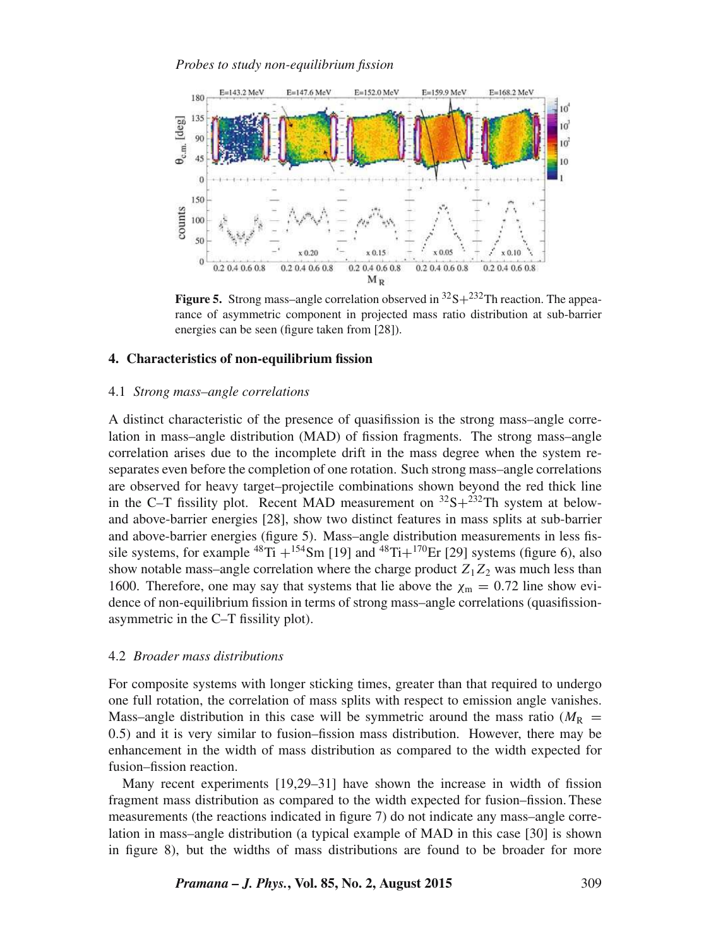*Probes to study non-equilibrium fission*



**Figure 5.** Strong mass–angle correlation observed in  ${}^{32}S + {}^{232}Th$  reaction. The appearance of asymmetric component in projected mass ratio distribution at sub-barrier energies can be seen (figure taken from [28]).

## **4. Characteristics of non-equilibrium fission**

## 4.1 *Strong mass–angle correlations*

A distinct characteristic of the presence of quasifission is the strong mass–angle correlation in mass–angle distribution (MAD) of fission fragments. The strong mass–angle correlation arises due to the incomplete drift in the mass degree when the system reseparates even before the completion of one rotation. Such strong mass–angle correlations are observed for heavy target–projectile combinations shown beyond the red thick line in the C–T fissility plot. Recent MAD measurement on  $32S+232Th$  system at belowand above-barrier energies [28], show two distinct features in mass splits at sub-barrier and above-barrier energies (figure 5). Mass–angle distribution measurements in less fissile systems, for example  $^{48}$ Ti +  $^{154}$ Sm [19] and  $^{48}$ Ti+ $^{170}$ Er [29] systems (figure 6), also show notable mass–angle correlation where the charge product  $Z_1Z_2$  was much less than 1600. Therefore, one may say that systems that lie above the  $\chi_m = 0.72$  line show evidence of non-equilibrium fission in terms of strong mass–angle correlations (quasifissionasymmetric in the C–T fissility plot).

## 4.2 *Broader mass distributions*

For composite systems with longer sticking times, greater than that required to undergo one full rotation, the correlation of mass splits with respect to emission angle vanishes. Mass–angle distribution in this case will be symmetric around the mass ratio ( $M_R$  = 0.5) and it is very similar to fusion–fission mass distribution. However, there may be enhancement in the width of mass distribution as compared to the width expected for fusion–fission reaction.

Many recent experiments [19,29–31] have shown the increase in width of fission fragment mass distribution as compared to the width expected for fusion–fission. These measurements (the reactions indicated in figure 7) do not indicate any mass–angle correlation in mass–angle distribution (a typical example of MAD in this case [30] is shown in figure 8), but the widths of mass distributions are found to be broader for more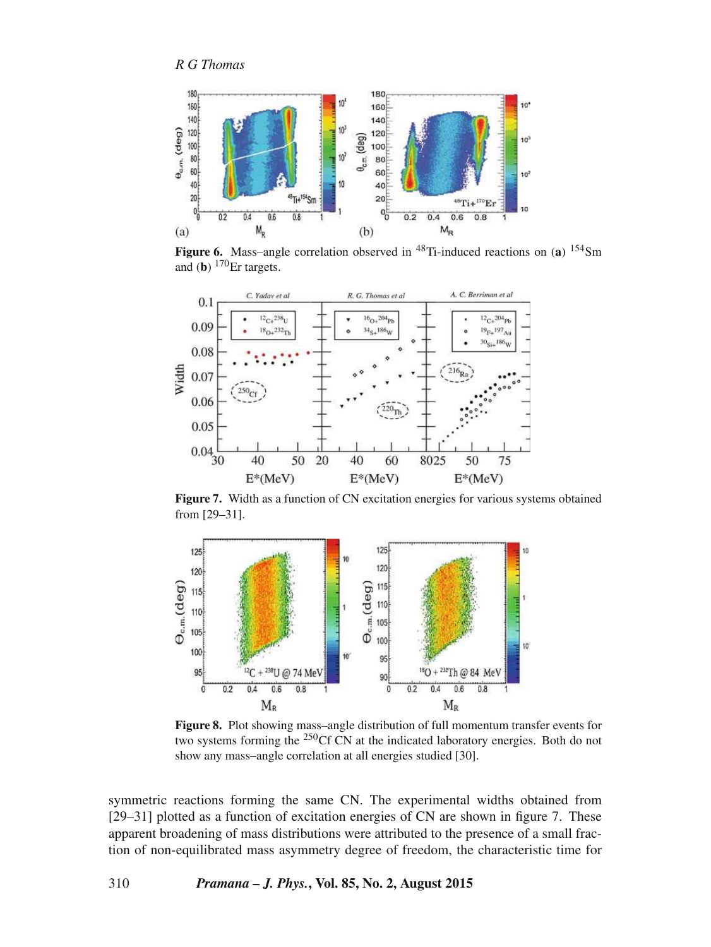

**Figure 6.** Mass–angle correlation observed in <sup>48</sup>Ti-induced reactions on (a) <sup>154</sup>Sm and (**b**) <sup>170</sup>Er targets.



**Figure 7.** Width as a function of CN excitation energies for various systems obtained from [29–31].



**Figure 8.** Plot showing mass–angle distribution of full momentum transfer events for two systems forming the <sup>250</sup>Cf CN at the indicated laboratory energies. Both do not show any mass–angle correlation at all energies studied [30].

symmetric reactions forming the same CN. The experimental widths obtained from [29–31] plotted as a function of excitation energies of CN are shown in figure 7. These apparent broadening of mass distributions were attributed to the presence of a small fraction of non-equilibrated mass asymmetry degree of freedom, the characteristic time for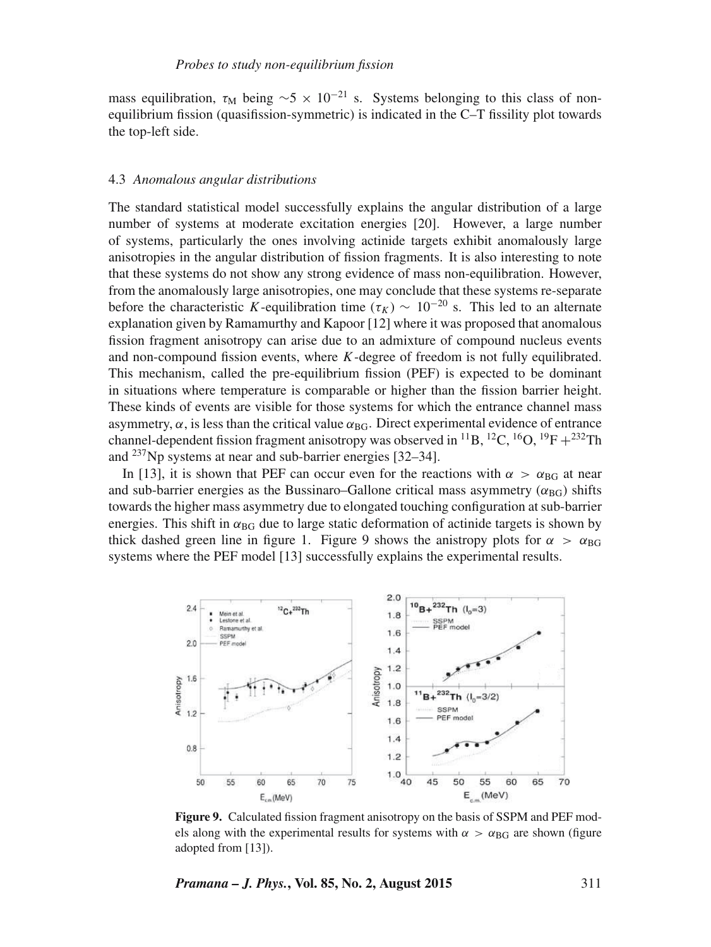mass equilibration,  $\tau_M$  being  $\sim$ 5 × 10<sup>-21</sup> s. Systems belonging to this class of nonequilibrium fission (quasifission-symmetric) is indicated in the C–T fissility plot towards the top-left side.

#### 4.3 *Anomalous angular distributions*

The standard statistical model successfully explains the angular distribution of a large number of systems at moderate excitation energies [20]. However, a large number of systems, particularly the ones involving actinide targets exhibit anomalously large anisotropies in the angular distribution of fission fragments. It is also interesting to note that these systems do not show any strong evidence of mass non-equilibration. However, from the anomalously large anisotropies, one may conclude that these systems re-separate before the characteristic K-equilibration time ( $\tau_K$ ) ~ 10<sup>-20</sup> s. This led to an alternate explanation given by Ramamurthy and Kapoor [12] where it was proposed that anomalous fission fragment anisotropy can arise due to an admixture of compound nucleus events and non-compound fission events, where  $K$ -degree of freedom is not fully equilibrated. This mechanism, called the pre-equilibrium fission (PEF) is expected to be dominant in situations where temperature is comparable or higher than the fission barrier height. These kinds of events are visible for those systems for which the entrance channel mass asymmetry,  $\alpha$ , is less than the critical value  $\alpha_{BG}$ . Direct experimental evidence of entrance channel-dependent fission fragment anisotropy was observed in <sup>11</sup>B, <sup>12</sup>C, <sup>16</sup>O, <sup>19</sup>F +<sup>232</sup>Th and <sup>237</sup>Np systems at near and sub-barrier energies [32–34].

In [13], it is shown that PEF can occur even for the reactions with  $\alpha > \alpha_{\text{BG}}$  at near and sub-barrier energies as the Bussinaro–Gallone critical mass asymmetry ( $\alpha_{\text{BG}}$ ) shifts towards the higher mass asymmetry due to elongated touching configuration at sub-barrier energies. This shift in  $\alpha_{BG}$  due to large static deformation of actinide targets is shown by thick dashed green line in figure 1. Figure 9 shows the anistropy plots for  $\alpha > \alpha_{\text{BG}}$ systems where the PEF model [13] successfully explains the experimental results.



**Figure 9.** Calculated fission fragment anisotropy on the basis of SSPM and PEF models along with the experimental results for systems with  $\alpha > \alpha_{\text{BG}}$  are shown (figure adopted from [13]).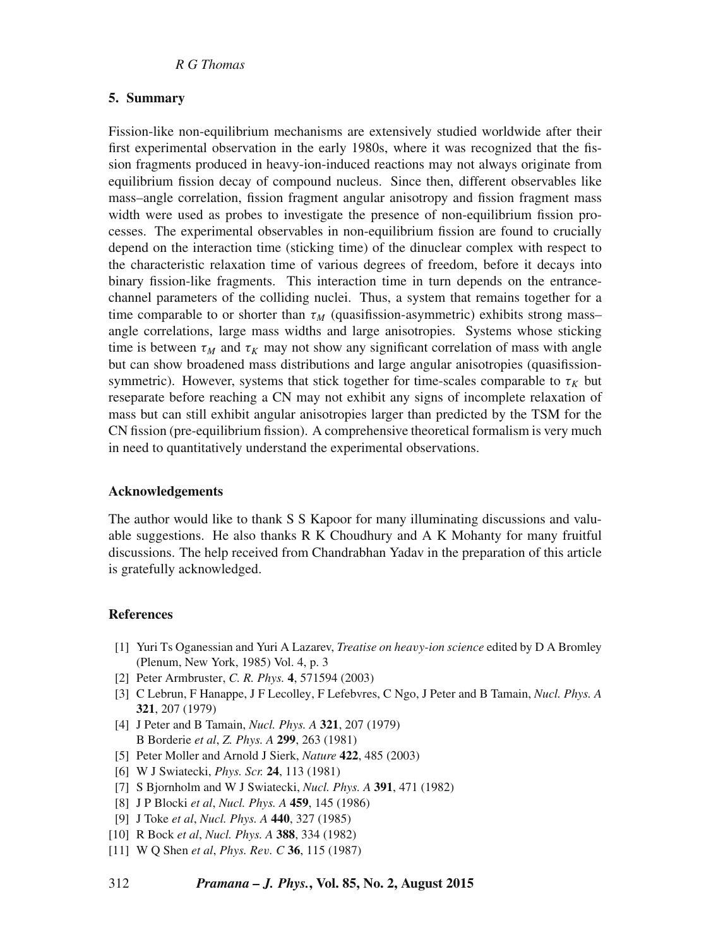# **5. Summary**

Fission-like non-equilibrium mechanisms are extensively studied worldwide after their first experimental observation in the early 1980s, where it was recognized that the fission fragments produced in heavy-ion-induced reactions may not always originate from equilibrium fission decay of compound nucleus. Since then, different observables like mass–angle correlation, fission fragment angular anisotropy and fission fragment mass width were used as probes to investigate the presence of non-equilibrium fission processes. The experimental observables in non-equilibrium fission are found to crucially depend on the interaction time (sticking time) of the dinuclear complex with respect to the characteristic relaxation time of various degrees of freedom, before it decays into binary fission-like fragments. This interaction time in turn depends on the entrancechannel parameters of the colliding nuclei. Thus, a system that remains together for a time comparable to or shorter than  $\tau_M$  (quasifission-asymmetric) exhibits strong mass– angle correlations, large mass widths and large anisotropies. Systems whose sticking time is between  $\tau_M$  and  $\tau_K$  may not show any significant correlation of mass with angle but can show broadened mass distributions and large angular anisotropies (quasifissionsymmetric). However, systems that stick together for time-scales comparable to  $\tau_K$  but reseparate before reaching a CN may not exhibit any signs of incomplete relaxation of mass but can still exhibit angular anisotropies larger than predicted by the TSM for the CN fission (pre-equilibrium fission). A comprehensive theoretical formalism is very much in need to quantitatively understand the experimental observations.

# **Acknowledgements**

The author would like to thank S S Kapoor for many illuminating discussions and valuable suggestions. He also thanks R K Choudhury and A K Mohanty for many fruitful discussions. The help received from Chandrabhan Yadav in the preparation of this article is gratefully acknowledged.

# **References**

- [1] Yuri Ts Oganessian and Yuri A Lazarev, *Treatise on hea*v*y-ion science* edited by D A Bromley (Plenum, New York, 1985) Vol. 4, p. 3
- [2] Peter Armbruster, *C. R. Phys.* **4**, 571594 (2003)
- [3] C Lebrun, F Hanappe, J F Lecolley, F Lefebvres, C Ngo, J Peter and B Tamain, *Nucl. Phys. A* **321**, 207 (1979)
- [4] J Peter and B Tamain, *Nucl. Phys. A* **321**, 207 (1979) B Borderie *et al*, *Z. Phys. A* **299**, 263 (1981)
- [5] Peter Moller and Arnold J Sierk, *Nature* **422**, 485 (2003)
- [6] W J Swiatecki, *Phys. Scr.* **24**, 113 (1981)
- [7] S Bjornholm and W J Swiatecki, *Nucl. Phys. A* **391**, 471 (1982)
- [8] J P Blocki *et al*, *Nucl. Phys. A* **459**, 145 (1986)
- [9] J Toke *et al*, *Nucl. Phys. A* **440**, 327 (1985)
- [10] R Bock *et al*, *Nucl. Phys. A* **388**, 334 (1982)
- [11] W Q Shen *et al*, *Phys. Re*v*. C* **36**, 115 (1987)